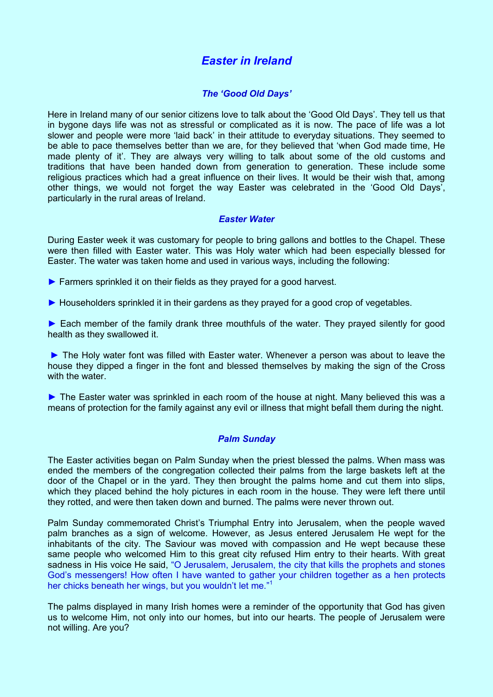# *Easter in Ireland*

# *The 'Good Old Days'*

Here in Ireland many of our senior citizens love to talk about the 'Good Old Days'. They tell us that in bygone days life was not as stressful or complicated as it is now. The pace of life was a lot slower and people were more 'laid back' in their attitude to everyday situations. They seemed to be able to pace themselves better than we are, for they believed that 'when God made time, He made plenty of it'. They are always very willing to talk about some of the old customs and traditions that have been handed down from generation to generation. These include some religious practices which had a great influence on their lives. It would be their wish that, among other things, we would not forget the way Easter was celebrated in the 'Good Old Days', particularly in the rural areas of Ireland.

# *Easter Water*

During Easter week it was customary for people to bring gallons and bottles to the Chapel. These were then filled with Easter water. This was Holy water which had been especially blessed for Easter. The water was taken home and used in various ways, including the following:

- ► Farmers sprinkled it on their fields as they prayed for a good harvest.
- ► Householders sprinkled it in their gardens as they prayed for a good crop of vegetables.

► Each member of the family drank three mouthfuls of the water. They prayed silently for good health as they swallowed it.

► The Holy water font was filled with Easter water. Whenever a person was about to leave the house they dipped a finger in the font and blessed themselves by making the sign of the Cross with the water.

► The Easter water was sprinkled in each room of the house at night. Many believed this was a means of protection for the family against any evil or illness that might befall them during the night.

# *Palm Sunday*

The Easter activities began on Palm Sunday when the priest blessed the palms. When mass was ended the members of the congregation collected their palms from the large baskets left at the door of the Chapel or in the yard. They then brought the palms home and cut them into slips, which they placed behind the holy pictures in each room in the house. They were left there until they rotted, and were then taken down and burned. The palms were never thrown out.

Palm Sunday commemorated Christ's Triumphal Entry into Jerusalem, when the people waved palm branches as a sign of welcome. However, as Jesus entered Jerusalem He wept for the inhabitants of the city. The Saviour was moved with compassion and He wept because these same people who welcomed Him to this great city refused Him entry to their hearts. With great sadness in His voice He said, "O Jerusalem, Jerusalem, the city that kills the prophets and stones God's messengers! How often I have wanted to gather your children together as a hen protects her chicks beneath her wings, but you wouldn't let me."<sup>1</sup>

The palms displayed in many Irish homes were a reminder of the opportunity that God has given us to welcome Him, not only into our homes, but into our hearts. The people of Jerusalem were not willing. Are you?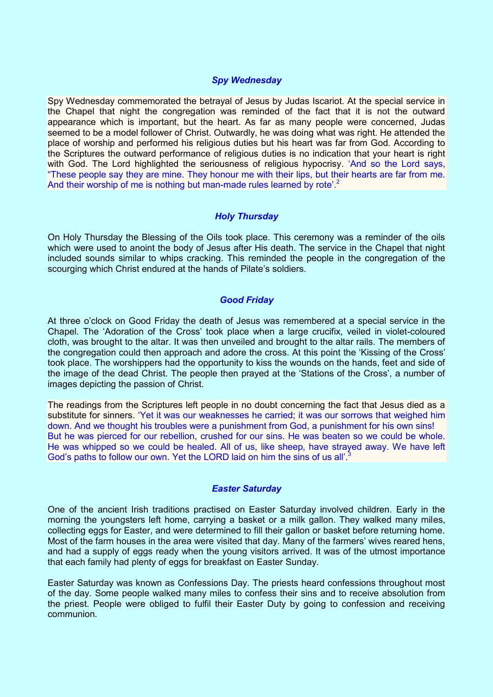# *Spy Wednesday*

Spy Wednesday commemorated the betrayal of Jesus by Judas Iscariot. At the special service in the Chapel that night the congregation was reminded of the fact that it is not the outward appearance which is important, but the heart. As far as many people were concerned, Judas seemed to be a model follower of Christ. Outwardly, he was doing what was right. He attended the place of worship and performed his religious duties but his heart was far from God. According to the Scriptures the outward performance of religious duties is no indication that your heart is right with God. The Lord highlighted the seriousness of religious hypocrisy. 'And so the Lord says, "These people say they are mine. They honour me with their lips, but their hearts are far from me. And their worship of me is nothing but man-made rules learned by rote'.<sup>2</sup>

# *Holy Thursday*

On Holy Thursday the Blessing of the Oils took place. This ceremony was a reminder of the oils which were used to anoint the body of Jesus after His death. The service in the Chapel that night included sounds similar to whips cracking. This reminded the people in the congregation of the scourging which Christ endured at the hands of Pilate's soldiers.

# *Good Friday*

At three o'clock on Good Friday the death of Jesus was remembered at a special service in the Chapel. The 'Adoration of the Cross' took place when a large crucifix, veiled in violet-coloured cloth, was brought to the altar. It was then unveiled and brought to the altar rails. The members of the congregation could then approach and adore the cross. At this point the 'Kissing of the Cross' took place. The worshippers had the opportunity to kiss the wounds on the hands, feet and side of the image of the dead Christ. The people then prayed at the 'Stations of the Cross', a number of images depicting the passion of Christ.

The readings from the Scriptures left people in no doubt concerning the fact that Jesus died as a substitute for sinners. 'Yet it was our weaknesses he carried; it was our sorrows that weighed him down. And we thought his troubles were a punishment from God, a punishment for his own sins! But he was pierced for our rebellion, crushed for our sins. He was beaten so we could be whole. He was whipped so we could be healed. All of us, like sheep, have strayed away. We have left God's paths to follow our own. Yet the LORD laid on him the sins of us all'.<sup>3</sup>

#### *Easter Saturday*

One of the ancient Irish traditions practised on Easter Saturday involved children. Early in the morning the youngsters left home, carrying a basket or a milk gallon. They walked many miles, collecting eggs for Easter, and were determined to fill their gallon or basket before returning home. Most of the farm houses in the area were visited that day. Many of the farmers' wives reared hens, and had a supply of eggs ready when the young visitors arrived. It was of the utmost importance that each family had plenty of eggs for breakfast on Easter Sunday.

Easter Saturday was known as Confessions Day. The priests heard confessions throughout most of the day. Some people walked many miles to confess their sins and to receive absolution from the priest. People were obliged to fulfil their Easter Duty by going to confession and receiving communion.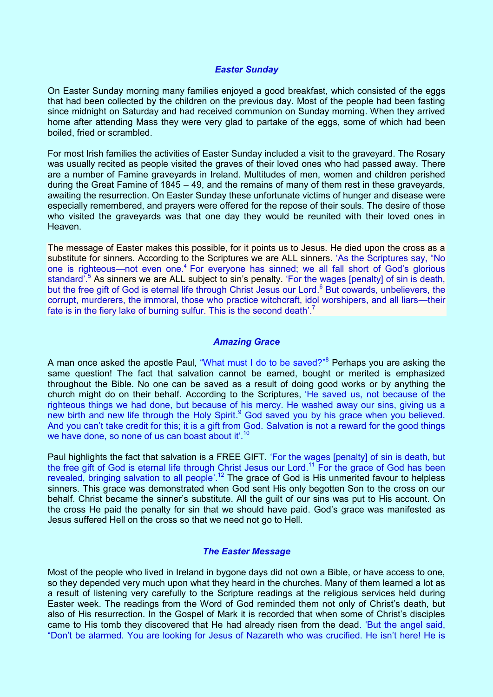#### *Easter Sunday*

On Easter Sunday morning many families enjoyed a good breakfast, which consisted of the eggs that had been collected by the children on the previous day. Most of the people had been fasting since midnight on Saturday and had received communion on Sunday morning. When they arrived home after attending Mass they were very glad to partake of the eggs, some of which had been boiled, fried or scrambled.

For most Irish families the activities of Easter Sunday included a visit to the graveyard. The Rosary was usually recited as people visited the graves of their loved ones who had passed away. There are a number of Famine graveyards in Ireland. Multitudes of men, women and children perished during the Great Famine of 1845 – 49, and the remains of many of them rest in these graveyards, awaiting the resurrection. On Easter Sunday these unfortunate victims of hunger and disease were especially remembered, and prayers were offered for the repose of their souls. The desire of those who visited the graveyards was that one day they would be reunited with their loved ones in Heaven.

The message of Easter makes this possible, for it points us to Jesus. He died upon the cross as a substitute for sinners. According to the Scriptures we are ALL sinners. 'As the Scriptures say, "No one is righteous—not even one.<sup>4</sup> For everyone has sinned; we all fall short of God's glorious standard<sup>'.5</sup> As sinners we are ALL subject to sin's penalty. 'For the wages [penalty] of sin is death, but the free gift of God is eternal life through Christ Jesus our Lord.<sup>6</sup> But cowards, unbelievers, the corrupt, murderers, the immoral, those who practice witchcraft, idol worshipers, and all liars—their fate is in the fiery lake of burning sulfur. This is the second death'.<sup>7</sup>

#### *Amazing Grace*

A man once asked the apostle Paul, "What must I do to be saved?"<sup>8</sup> Perhaps you are asking the same question! The fact that salvation cannot be earned, bought or merited is emphasized throughout the Bible. No one can be saved as a result of doing good works or by anything the church might do on their behalf. According to the Scriptures, 'He saved us, not because of the righteous things we had done, but because of his mercy. He washed away our sins, giving us a new birth and new life through the Holy Spirit.<sup>9</sup> God saved you by his grace when you believed. And you can't take credit for this; it is a gift from God. Salvation is not a reward for the good things we have done, so none of us can boast about it'.<sup>10</sup>

Paul highlights the fact that salvation is a FREE GIFT. 'For the wages [penalty] of sin is death, but the free gift of God is eternal life through Christ Jesus our Lord.<sup>11</sup> For the grace of God has been revealed, bringing salvation to all people'.<sup>12</sup> The grace of God is His unmerited favour to helpless sinners. This grace was demonstrated when God sent His only begotten Son to the cross on our behalf. Christ became the sinner's substitute. All the guilt of our sins was put to His account. On the cross He paid the penalty for sin that we should have paid. God's grace was manifested as Jesus suffered Hell on the cross so that we need not go to Hell.

#### *The Easter Message*

Most of the people who lived in Ireland in bygone days did not own a Bible, or have access to one, so they depended very much upon what they heard in the churches. Many of them learned a lot as a result of listening very carefully to the Scripture readings at the religious services held during Easter week. The readings from the Word of God reminded them not only of Christ's death, but also of His resurrection. In the Gospel of Mark it is recorded that when some of Christ's disciples came to His tomb they discovered that He had already risen from the dead. 'But the angel said, "Don't be alarmed. You are looking for Jesus of Nazareth who was crucified. He isn't here! He is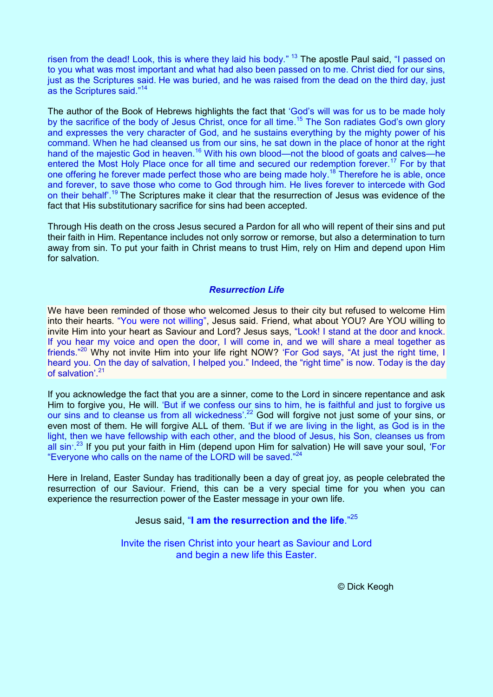risen from the dead! Look, this is where they laid his body." <sup>13</sup> The apostle Paul said, "I passed on to you what was most important and what had also been passed on to me. Christ died for our sins, just as the Scriptures said. He was buried, and he was raised from the dead on the third day, just as the Scriptures said."<sup>14</sup>

The author of the Book of Hebrews highlights the fact that 'God's will was for us to be made holy by the sacrifice of the body of Jesus Christ, once for all time.<sup>15</sup> The Son radiates God's own glory and expresses the very character of God, and he sustains everything by the mighty power of his command. When he had cleansed us from our sins, he sat down in the place of honor at the right hand of the majestic God in heaven.<sup>16</sup> With his own blood—not the blood of goats and calves—he entered the Most Holy Place once for all time and secured our redemption forever.<sup>17</sup> For by that one offering he forever made perfect those who are being made holy.<sup>18</sup> Therefore he is able, once and forever, to save those who come to God through him. He lives forever to intercede with God on their behalf'.<sup>19</sup> The Scriptures make it clear that the resurrection of Jesus was evidence of the fact that His substitutionary sacrifice for sins had been accepted.

Through His death on the cross Jesus secured a Pardon for all who will repent of their sins and put their faith in Him. Repentance includes not only sorrow or remorse, but also a determination to turn away from sin. To put your faith in Christ means to trust Him, rely on Him and depend upon Him for salvation.

# *Resurrection Life*

We have been reminded of those who welcomed Jesus to their city but refused to welcome Him into their hearts. "You were not willing", Jesus said. Friend, what about YOU? Are YOU willing to invite Him into your heart as Saviour and Lord? Jesus says, "Look! I stand at the door and knock. If you hear my voice and open the door, I will come in, and we will share a meal together as friends."<sup>20</sup> Why not invite Him into your life right NOW? 'For God says, "At just the right time, I heard you. On the day of salvation, I helped you." Indeed, the "right time" is now. Today is the day of salvation'. 21

If you acknowledge the fact that you are a sinner, come to the Lord in sincere repentance and ask Him to forgive you, He will. 'But if we confess our sins to him, he is faithful and just to forgive us our sins and to cleanse us from all wickedness'.<sup>22</sup> God will forgive not just some of your sins, or even most of them. He will forgive ALL of them. 'But if we are living in the light, as God is in the light, then we have fellowship with each other, and the blood of Jesus, his Son, cleanses us from all sin<sup>23</sup> If you put your faith in Him (depend upon Him for salvation) He will save your soul, 'For "Everyone who calls on the name of the LORD will be saved."<sup>24</sup>

Here in Ireland, Easter Sunday has traditionally been a day of great joy, as people celebrated the resurrection of our Saviour. Friend, this can be a very special time for you when you can experience the resurrection power of the Easter message in your own life.

# Jesus said, "**I am the resurrection and the life**." 25

Invite the risen Christ into your heart as Saviour and Lord and begin a new life this Easter.

© Dick Keogh